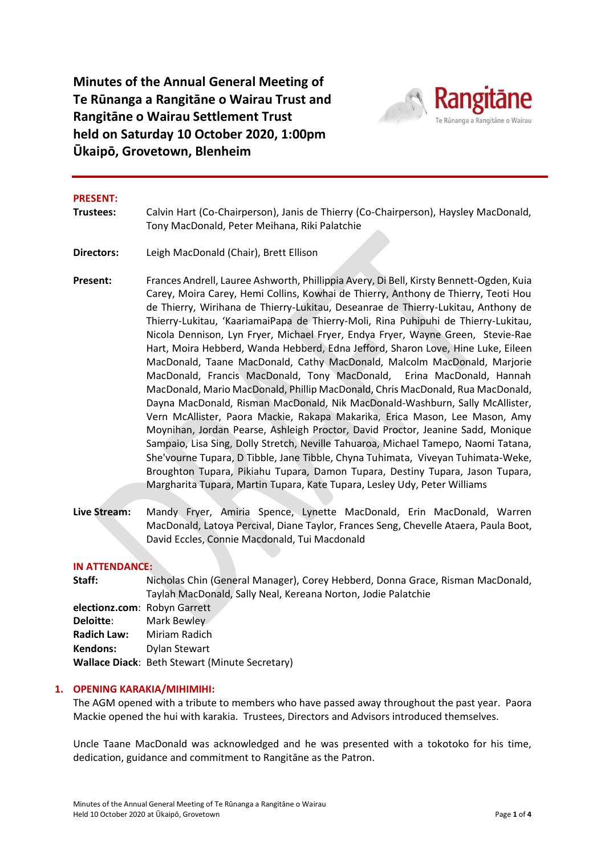**Minutes of the Annual General Meeting of Te Rūnanga a Rangitāne o Wairau Trust and Rangitāne o Wairau Settlement Trust held on Saturday 10 October 2020, 1:00pm Ūkaipō, Grovetown, Blenheim**



#### **PRESENT:**

- **Trustees:** Calvin Hart (Co-Chairperson), Janis de Thierry (Co-Chairperson), Haysley MacDonald, Tony MacDonald, Peter Meihana, Riki Palatchie
- **Directors:** Leigh MacDonald (Chair), Brett Ellison
- **Present:** Frances Andrell, Lauree Ashworth, Phillippia Avery, Di Bell, Kirsty Bennett-Ogden, Kuia Carey, Moira Carey, Hemi Collins, Kowhai de Thierry, Anthony de Thierry, Teoti Hou de Thierry, Wirihana de Thierry-Lukitau, Deseanrae de Thierry-Lukitau, Anthony de Thierry-Lukitau, 'KaariamaiPapa de Thierry-Moli, Rina Puhipuhi de Thierry-Lukitau, Nicola Dennison, Lyn Fryer, Michael Fryer, Endya Fryer, Wayne Green, Stevie-Rae Hart, Moira Hebberd, Wanda Hebberd, Edna Jefford, Sharon Love, Hine Luke, Eileen MacDonald, Taane MacDonald, Cathy MacDonald, Malcolm MacDonald, Marjorie MacDonald, Francis MacDonald, Tony MacDonald, Erina MacDonald, Hannah MacDonald, Mario MacDonald, Phillip MacDonald, Chris MacDonald, Rua MacDonald, Dayna MacDonald, Risman MacDonald, Nik MacDonald-Washburn, Sally McAllister, Vern McAllister, Paora Mackie, Rakapa Makarika, Erica Mason, Lee Mason, Amy Moynihan, Jordan Pearse, Ashleigh Proctor, David Proctor, Jeanine Sadd, Monique Sampaio, Lisa Sing, Dolly Stretch, Neville Tahuaroa, Michael Tamepo, Naomi Tatana, She'vourne Tupara, D Tibble, Jane Tibble, Chyna Tuhimata, Viveyan Tuhimata-Weke, Broughton Tupara, Pikiahu Tupara, Damon Tupara, Destiny Tupara, Jason Tupara, Margharita Tupara, Martin Tupara, Kate Tupara, Lesley Udy, Peter Williams
- **Live Stream:** Mandy Fryer, Amiria Spence, Lynette MacDonald, Erin MacDonald, Warren MacDonald, Latoya Percival, Diane Taylor, Frances Seng, Chevelle Ataera, Paula Boot, David Eccles, Connie Macdonald, Tui Macdonald

#### **IN ATTENDANCE:**

| Staff:                       | Nicholas Chin (General Manager), Corey Hebberd, Donna Grace, Risman MacDonald, |
|------------------------------|--------------------------------------------------------------------------------|
|                              | Taylah MacDonald, Sally Neal, Kereana Norton, Jodie Palatchie                  |
| electionz.com: Robyn Garrett |                                                                                |
| <b>Deloitte:</b>             | Mark Bewley                                                                    |
| <b>Radich Law:</b>           | Miriam Radich                                                                  |
| Kendons:                     | Dylan Stewart                                                                  |
|                              | Wallace Diack: Beth Stewart (Minute Secretary)                                 |
|                              |                                                                                |

#### **1. OPENING KARAKIA/MIHIMIHI:**

The AGM opened with a tribute to members who have passed away throughout the past year. Paora Mackie opened the hui with karakia. Trustees, Directors and Advisors introduced themselves.

Uncle Taane MacDonald was acknowledged and he was presented with a tokotoko for his time, dedication, guidance and commitment to Rangitāne as the Patron.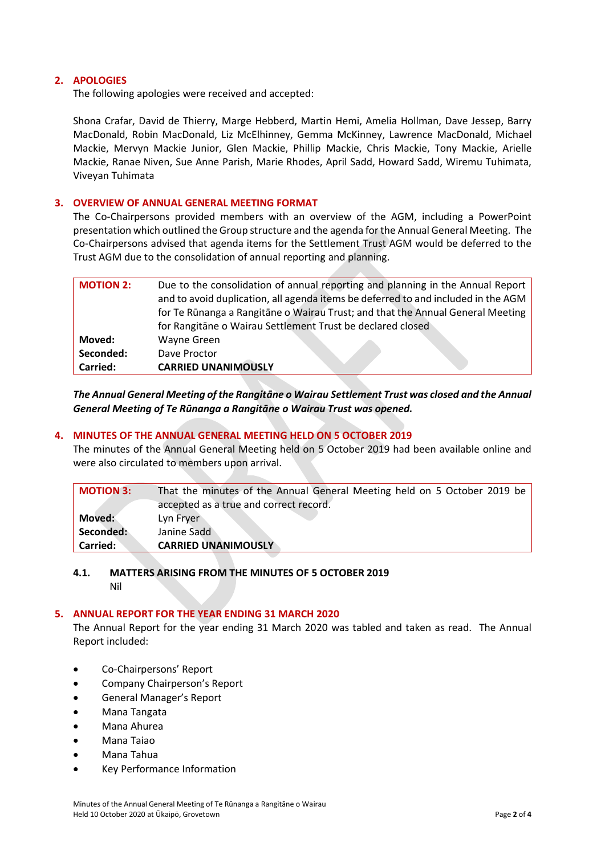## **2. APOLOGIES**

The following apologies were received and accepted:

Shona Crafar, David de Thierry, Marge Hebberd, Martin Hemi, Amelia Hollman, Dave Jessep, Barry MacDonald, Robin MacDonald, Liz McElhinney, Gemma McKinney, Lawrence MacDonald, Michael Mackie, Mervyn Mackie Junior, Glen Mackie, Phillip Mackie, Chris Mackie, Tony Mackie, Arielle Mackie, Ranae Niven, Sue Anne Parish, Marie Rhodes, April Sadd, Howard Sadd, Wiremu Tuhimata, Viveyan Tuhimata

#### **3. OVERVIEW OF ANNUAL GENERAL MEETING FORMAT**

The Co-Chairpersons provided members with an overview of the AGM, including a PowerPoint presentation which outlined the Group structure and the agenda for the Annual General Meeting. The Co-Chairpersons advised that agenda items for the Settlement Trust AGM would be deferred to the Trust AGM due to the consolidation of annual reporting and planning.

| <b>MOTION 2:</b> | Due to the consolidation of annual reporting and planning in the Annual Report    |
|------------------|-----------------------------------------------------------------------------------|
|                  | and to avoid duplication, all agenda items be deferred to and included in the AGM |
|                  | for Te Rūnanga a Rangitāne o Wairau Trust; and that the Annual General Meeting    |
|                  | for Rangitane o Wairau Settlement Trust be declared closed                        |
| Moved:           | Wayne Green                                                                       |
| Seconded:        | Dave Proctor                                                                      |
| Carried:         | <b>CARRIED UNANIMOUSLY</b>                                                        |

*The Annual General Meeting of the Rangitāne o Wairau Settlement Trust was closed and the Annual General Meeting of Te Rūnanga a Rangitāne o Wairau Trust was opened.*

## **4. MINUTES OF THE ANNUAL GENERAL MEETING HELD ON 5 OCTOBER 2019**

The minutes of the Annual General Meeting held on 5 October 2019 had been available online and were also circulated to members upon arrival.

| <b>MOTION 3:</b> | That the minutes of the Annual General Meeting held on 5 October 2019 be |
|------------------|--------------------------------------------------------------------------|
|                  | accepted as a true and correct record.                                   |
| Moved:           | Lyn Fryer                                                                |
| Seconded:        | Janine Sadd                                                              |
| Carried:         | <b>CARRIED UNANIMOUSLY</b>                                               |

# **4.1. MATTERS ARISING FROM THE MINUTES OF 5 OCTOBER 2019**

Nil

## **5. ANNUAL REPORT FOR THE YEAR ENDING 31 MARCH 2020**

The Annual Report for the year ending 31 March 2020 was tabled and taken as read. The Annual Report included:

- Co-Chairpersons' Report
- Company Chairperson's Report
- General Manager's Report
- Mana Tangata
- Mana Ahurea
- Mana Taiao
- Mana Tahua
- Key Performance Information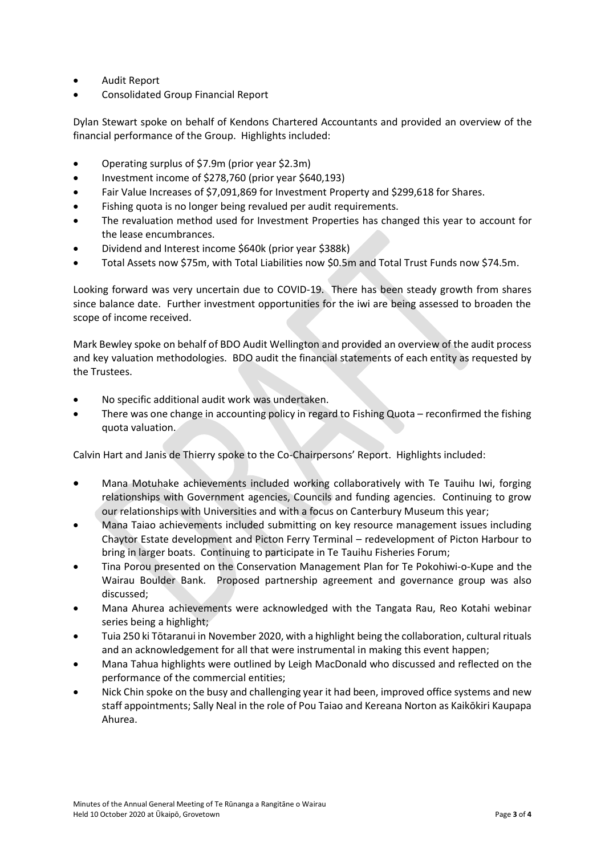- Audit Report
- Consolidated Group Financial Report

Dylan Stewart spoke on behalf of Kendons Chartered Accountants and provided an overview of the financial performance of the Group. Highlights included:

- Operating surplus of \$7.9m (prior year \$2.3m)
- Investment income of \$278,760 (prior year \$640,193)
- Fair Value Increases of \$7,091,869 for Investment Property and \$299,618 for Shares.
- Fishing quota is no longer being revalued per audit requirements.
- The revaluation method used for Investment Properties has changed this year to account for the lease encumbrances.
- Dividend and Interest income \$640k (prior year \$388k)
- Total Assets now \$75m, with Total Liabilities now \$0.5m and Total Trust Funds now \$74.5m.

Looking forward was very uncertain due to COVID-19. There has been steady growth from shares since balance date. Further investment opportunities for the iwi are being assessed to broaden the scope of income received.

Mark Bewley spoke on behalf of BDO Audit Wellington and provided an overview of the audit process and key valuation methodologies. BDO audit the financial statements of each entity as requested by the Trustees.

- No specific additional audit work was undertaken.
- There was one change in accounting policy in regard to Fishing Quota reconfirmed the fishing quota valuation.

Calvin Hart and Janis de Thierry spoke to the Co-Chairpersons' Report. Highlights included:

- Mana Motuhake achievements included working collaboratively with Te Tauihu Iwi, forging relationships with Government agencies, Councils and funding agencies. Continuing to grow our relationships with Universities and with a focus on Canterbury Museum this year;
- Mana Taiao achievements included submitting on key resource management issues including Chaytor Estate development and Picton Ferry Terminal – redevelopment of Picton Harbour to bring in larger boats. Continuing to participate in Te Tauihu Fisheries Forum;
- Tina Porou presented on the Conservation Management Plan for Te Pokohiwi-o-Kupe and the Wairau Boulder Bank. Proposed partnership agreement and governance group was also discussed;
- Mana Ahurea achievements were acknowledged with the Tangata Rau, Reo Kotahi webinar series being a highlight;
- Tuia 250 ki Tōtaranui in November 2020, with a highlight being the collaboration, cultural rituals and an acknowledgement for all that were instrumental in making this event happen;
- Mana Tahua highlights were outlined by Leigh MacDonald who discussed and reflected on the performance of the commercial entities;
- Nick Chin spoke on the busy and challenging year it had been, improved office systems and new staff appointments; Sally Neal in the role of Pou Taiao and Kereana Norton as Kaikōkiri Kaupapa Ahurea.